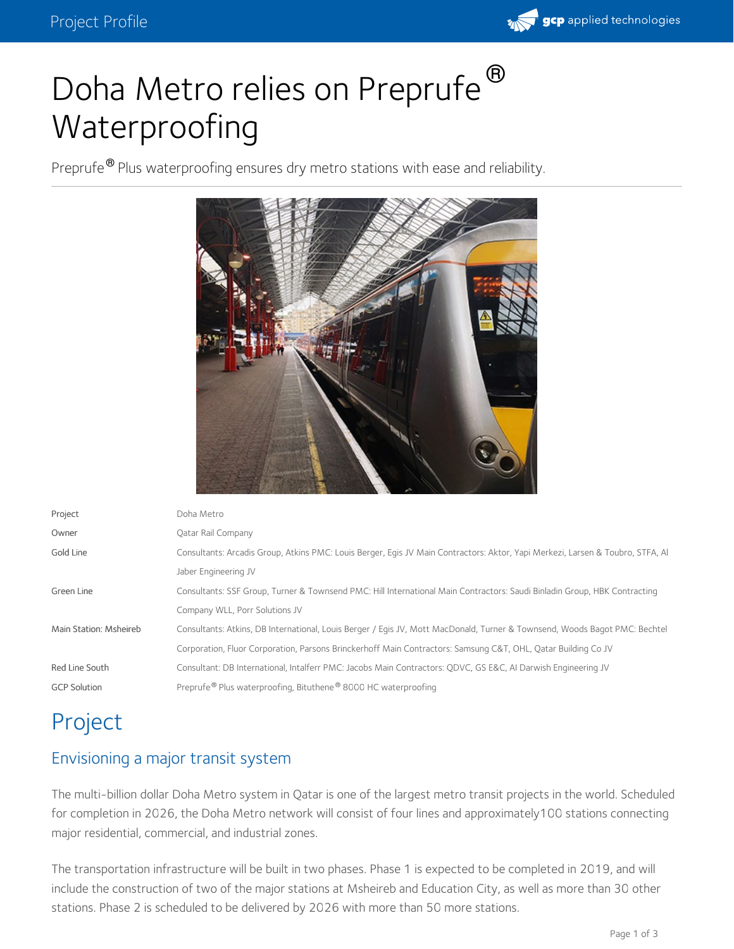

# Doha Metro relies on Preprufe<sup>®</sup> Waterproofing

Preprufe<sup>®</sup> Plus waterproofing ensures dry metro stations with ease and reliability.



| Project                | Doha Metro                                                                                                                     |
|------------------------|--------------------------------------------------------------------------------------------------------------------------------|
| Owner                  | Oatar Rail Company                                                                                                             |
| Gold Line              | Consultants: Arcadis Group, Atkins PMC: Louis Berger, Egis JV Main Contractors: Aktor, Yapi Merkezi, Larsen & Toubro, STFA, Al |
|                        | Jaber Engineering JV                                                                                                           |
| Green Line             | Consultants: SSF Group, Turner & Townsend PMC: Hill International Main Contractors: Saudi Binladin Group, HBK Contracting      |
|                        | Company WLL, Porr Solutions JV                                                                                                 |
| Main Station: Msheireb | Consultants: Atkins, DB International, Louis Berger / Egis JV, Mott MacDonald, Turner & Townsend, Woods Bagot PMC: Bechtel     |
|                        | Corporation, Fluor Corporation, Parsons Brinckerhoff Main Contractors: Samsung C&T, OHL, Oatar Building Co JV                  |
| Red Line South         | Consultant: DB International, Intalferr PMC: Jacobs Main Contractors: ODVC, GS E&C, AI Darwish Engineering JV                  |
| <b>GCP Solution</b>    | Preprufe <sup>®</sup> Plus waterproofing, Bituthene <sup>®</sup> 8000 HC waterproofing                                         |
|                        |                                                                                                                                |

## Project

#### Envisioning a major transit system

The multi-billion dollar Doha Metro system in Qatar is one of the largest metro transit projects in the world. Scheduled for completion in 2026, the Doha Metro network will consist of four lines and approximately100 stations connecting major residential, commercial, and industrial zones.

The transportation infrastructure will be built in two phases. Phase 1 is expected to be completed in 2019, and will include the construction of two of the major stations at Msheireb and Education City, as well as more than 30 other stations. Phase 2 is scheduled to be delivered by 2026 with more than 50 more stations.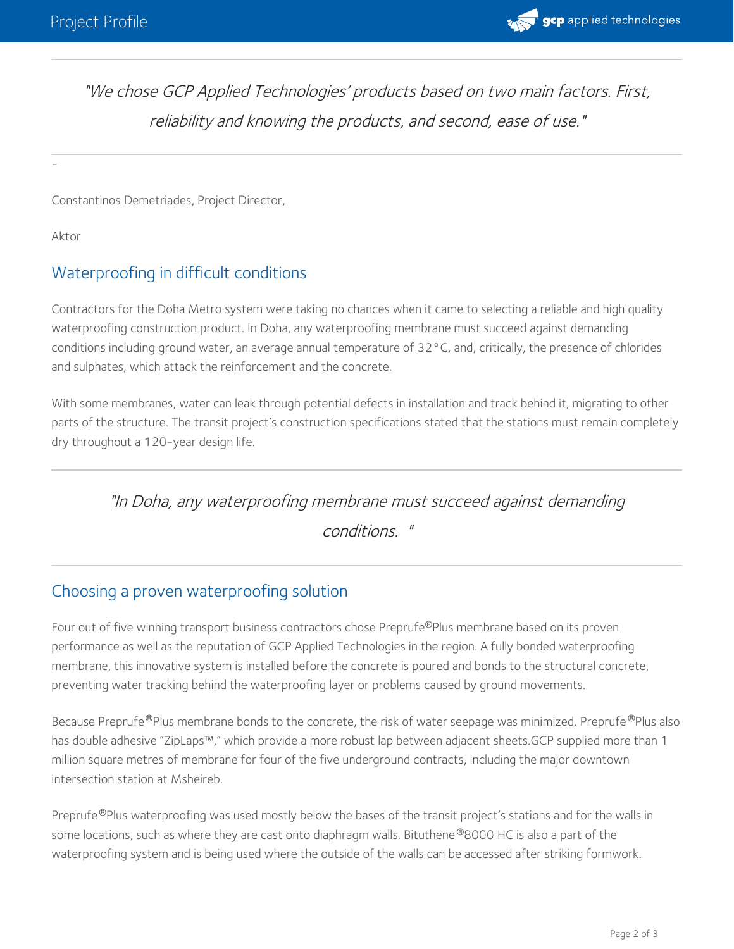

"We chose GCP Applied Technologies' products based on two main factors. First, reliability and knowing the products, and second, ease of use."

Constantinos Demetriades, Project Director,

Aktor

-

### Waterproofing in difficult conditions

Contractors for the Doha Metro system were taking no chances when it came to selecting a reliable and high quality waterproofing construction product. In Doha, any waterproofing membrane must succeed against demanding conditions including ground water, an average annual temperature of 32°C, and, critically, the presence of chlorides and sulphates, which attack the reinforcement and the concrete.

With some membranes, water can leak through potential defects in installation and track behind it, migrating to other parts of the structure. The transit project's construction specifications stated that the stations must remain completely dry throughout a 120-year design life.

"In Doha, any waterproofing membrane must succeed against demanding

conditions. "

#### Choosing a proven waterproofing solution

Four out of five winning transport business contractors chose Preprufe®Plus membrane based on its proven performance as well as the reputation of GCP Applied Technologies in the region. A fully bonded waterproofing membrane, this innovative system is installed before the concrete is poured and bonds to the structural concrete, preventing water tracking behind the waterproofing layer or problems caused by ground movements.

Because Preprufe®Plus membrane bonds to the concrete, the risk of water seepage was minimized. Preprufe®Plus also has double adhesive "ZipLaps™," which provide a more robust lap between adjacent sheets.GCP supplied more than 1 million square metres of membrane for four of the five underground contracts, including the major downtown intersection station at Msheireb.

Preprufe®Plus waterproofing was used mostly below the bases of the transit project's stations and for the walls in some locations, such as where they are cast onto diaphragm walls. Bituthene®8000 HC is also a part of the waterproofing system and is being used where the outside of the walls can be accessed after striking formwork.